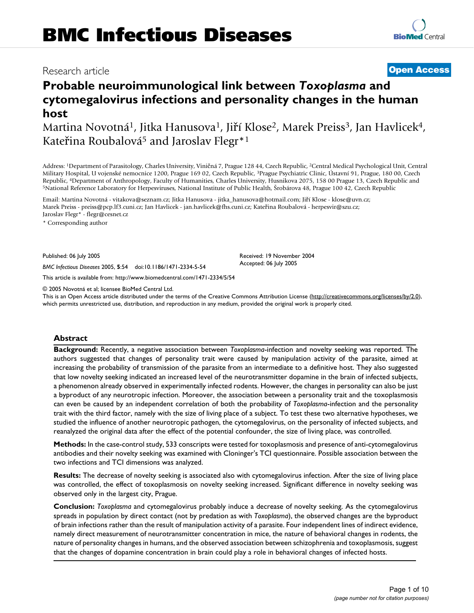## Research article **[Open Access](http://www.biomedcentral.com/info/about/charter/)**

# **Probable neuroimmunological link between** *Toxoplasma* **and cytomegalovirus infections and personality changes in the human host**

Martina Novotná<sup>1</sup>, Jitka Hanusova<sup>1</sup>, Jiří Klose<sup>2</sup>, Marek Preiss<sup>3</sup>, Jan Havlicek<sup>4</sup>, Kateřina Roubalová<sup>5</sup> and Jaroslav Flegr<sup>\*1</sup>

Address: 1Department of Parasitology, Charles University, Viničná 7, Prague 128 44, Czech Republic, 2Central Medical Psychological Unit, Central Military Hospital, U vojenské nemocnice 1200, Prague 169 02, Czech Republic, 3Prague Psychiatric Clinic, Ústavní 91, Prague, 180 00, Czech Republic, <sup>4</sup>Department of Anthropology, Faculty of Humanities, Charles University, Husnikova 2075, 158 00 Prague 13, Czech Republic and<br><sup>5</sup>National Reference Laboratory for Herpesviruses, National Institute of Public Heal

Email: Martina Novotná - vitakova@seznam.cz; Jitka Hanusova - jitka\_hanusova@hotmail.com; Jiří Klose - klose@uvn.cz; Marek Preiss - preiss@pcp.lf3.cuni.cz; Jan Havlicek - jan.havlicek@fhs.cuni.cz; Kateřina Roubalová - herpesvir@szu.cz; Jaroslav Flegr\* - flegr@cesnet.cz

\* Corresponding author

Published: 06 July 2005

*BMC Infectious Diseases* 2005, **5**:54 doi:10.1186/1471-2334-5-54

[This article is available from: http://www.biomedcentral.com/1471-2334/5/54](http://www.biomedcentral.com/1471-2334/5/54)

© 2005 Novotná et al; licensee BioMed Central Ltd.

This is an Open Access article distributed under the terms of the Creative Commons Attribution License [\(http://creativecommons.org/licenses/by/2.0\)](http://creativecommons.org/licenses/by/2.0), which permits unrestricted use, distribution, and reproduction in any medium, provided the original work is properly cited.

Received: 19 November 2004 Accepted: 06 July 2005

#### **Abstract**

**Background:** Recently, a negative association between *Toxoplasma*-infection and novelty seeking was reported. The authors suggested that changes of personality trait were caused by manipulation activity of the parasite, aimed at increasing the probability of transmission of the parasite from an intermediate to a definitive host. They also suggested that low novelty seeking indicated an increased level of the neurotransmitter dopamine in the brain of infected subjects, a phenomenon already observed in experimentally infected rodents. However, the changes in personality can also be just a byproduct of any neurotropic infection. Moreover, the association between a personality trait and the toxoplasmosis can even be caused by an independent correlation of both the probability of *Toxoplasma*-infection and the personality trait with the third factor, namely with the size of living place of a subject. To test these two alternative hypotheses, we studied the influence of another neurotropic pathogen, the cytomegalovirus, on the personality of infected subjects, and reanalyzed the original data after the effect of the potential confounder, the size of living place, was controlled.

**Methods:** In the case-control study, 533 conscripts were tested for toxoplasmosis and presence of anti-cytomegalovirus antibodies and their novelty seeking was examined with Cloninger's TCI questionnaire. Possible association between the two infections and TCI dimensions was analyzed.

**Results:** The decrease of novelty seeking is associated also with cytomegalovirus infection. After the size of living place was controlled, the effect of toxoplasmosis on novelty seeking increased. Significant difference in novelty seeking was observed only in the largest city, Prague.

**Conclusion:** *Toxoplasma* and cytomegalovirus probably induce a decrease of novelty seeking. As the cytomegalovirus spreads in population by direct contact (not by predation as with *Toxoplasma*), the observed changes are the byproduct of brain infections rather than the result of manipulation activity of a parasite. Four independent lines of indirect evidence, namely direct measurement of neurotransmitter concentration in mice, the nature of behavioral changes in rodents, the nature of personality changes in humans, and the observed association between schizophrenia and toxoplasmosis, suggest that the changes of dopamine concentration in brain could play a role in behavioral changes of infected hosts.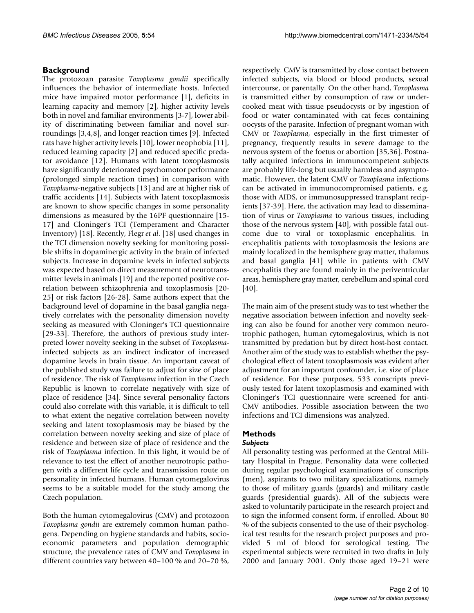#### **Background**

The protozoan parasite *Toxoplasma gondii* specifically influences the behavior of intermediate hosts. Infected mice have impaired motor performance [1], deficits in learning capacity and memory [2], higher activity levels both in novel and familiar environments [3-7], lower ability of discriminating between familiar and novel surroundings [3,4,8], and longer reaction times [9]. Infected rats have higher activity levels [10], lower neophobia [11], reduced learning capacity [2] and reduced specific predator avoidance [12]. Humans with latent toxoplasmosis have significantly deteriorated psychomotor performance (prolonged simple reaction times) in comparison with *Toxoplasma*-negative subjects [13] and are at higher risk of traffic accidents [14]. Subjects with latent toxoplasmosis are known to show specific changes in some personality dimensions as measured by the 16PF questionnaire [15- 17] and Cloninger's TCI (Temperament and Character Inventory) [18]. Recently, Flegr *et al*. [18] used changes in the TCI dimension novelty seeking for monitoring possible shifts in dopaminergic activity in the brain of infected subjects. Increase in dopamine levels in infected subjects was expected based on direct measurement of neurotransmitter levels in animals [19] and the reported positive correlation between schizophrenia and toxoplasmosis [20- 25] or risk factors [26-28]. Same authors expect that the background level of dopamine in the basal ganglia negatively correlates with the personality dimension novelty seeking as measured with Cloninger's TCI questionnaire [29-33]. Therefore, the authors of previous study interpreted lower novelty seeking in the subset of *Toxoplasma*infected subjects as an indirect indicator of increased dopamine levels in brain tissue. An important caveat of the published study was failure to adjust for size of place of residence. The risk of *Toxoplasma* infection in the Czech Republic is known to correlate negatively with size of place of residence [34]. Since several personality factors could also correlate with this variable, it is difficult to tell to what extent the negative correlation between novelty seeking and latent toxoplasmosis may be biased by the correlation between novelty seeking and size of place of residence and between size of place of residence and the risk of *Toxoplasma* infection. In this light, it would be of relevance to test the effect of another neurotropic pathogen with a different life cycle and transmission route on personality in infected humans. Human cytomegalovirus seems to be a suitable model for the study among the Czech population.

Both the human cytomegalovirus (CMV) and protozoon *Toxoplasma gondii* are extremely common human pathogens. Depending on hygiene standards and habits, socioeconomic parameters and population demographic structure, the prevalence rates of CMV and *Toxoplasma* in different countries vary between 40–100 % and 20–70 %,

respectively. CMV is transmitted by close contact between infected subjects, via blood or blood products, sexual intercourse, or parentally. On the other hand, *Toxoplasma* is transmitted either by consumption of raw or undercooked meat with tissue pseudocysts or by ingestion of food or water contaminated with cat feces containing oocysts of the parasite. Infection of pregnant woman with CMV or *Toxoplasma*, especially in the first trimester of pregnancy, frequently results in severe damage to the nervous system of the foetus or abortion [35,36]. Postnatally acquired infections in immunocompetent subjects are probably life-long but usually harmless and asymptomatic. However, the latent CMV or *Toxoplasma* infections can be activated in immunocompromised patients, e.g. those with AIDS, or immunosuppressed transplant recipients [37-39]. Here, the activation may lead to dissemination of virus or *Toxoplasma* to various tissues, including those of the nervous system [40], with possible fatal outcome due to viral or toxoplasmic encephalitis. In encephalitis patients with toxoplasmosis the lesions are mainly localized in the hemisphere gray matter, thalamus and basal ganglia [41] while in patients with CMV encephalitis they are found mainly in the periventricular areas, hemisphere gray matter, cerebellum and spinal cord [40].

The main aim of the present study was to test whether the negative association between infection and novelty seeking can also be found for another very common neurotrophic pathogen, human cytomegalovirus, which is not transmitted by predation but by direct host-host contact. Another aim of the study was to establish whether the psychological effect of latent toxoplasmosis was evident after adjustment for an important confounder, i.e. size of place of residence. For these purposes, 533 conscripts previously tested for latent toxoplasmosis and examined with Cloninger's TCI questionnaire were screened for anti-CMV antibodies. Possible association between the two infections and TCI dimensions was analyzed.

# **Methods**

#### *Subjects*

All personality testing was performed at the Central Military Hospital in Prague. Personality data were collected during regular psychological examinations of conscripts (men), aspirants to two military specializations, namely to those of military guards (guards) and military castle guards (presidential guards). All of the subjects were asked to voluntarily participate in the research project and to sign the informed consent form, if enrolled. About 80 % of the subjects consented to the use of their psychological test results for the research project purposes and provided 5 ml of blood for serological testing. The experimental subjects were recruited in two drafts in July 2000 and January 2001. Only those aged 19–21 were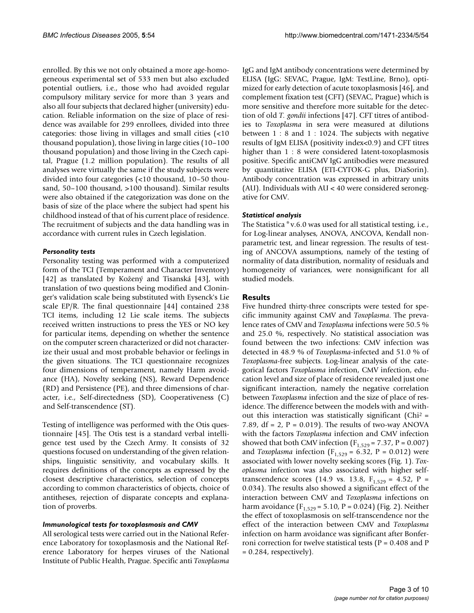enrolled. By this we not only obtained a more age-homogeneous experimental set of 533 men but also excluded potential outliers, i.e., those who had avoided regular compulsory military service for more than 3 years and also all four subjects that declared higher (university) education. Reliable information on the size of place of residence was available for 299 enrollees, divided into three categories: those living in villages and small cities (<10 thousand population), those living in large cities (10–100 thousand population) and those living in the Czech capital, Prague (1.2 million population). The results of all analyses were virtually the same if the study subjects were divided into four categories (<10 thousand, 10–50 thousand, 50-100 thousand, >100 thousand). Similar results were also obtained if the categorization was done on the basis of size of the place where the subject had spent his childhood instead of that of his current place of residence. The recruitment of subjects and the data handling was in accordance with current rules in Czech legislation.

#### *Personality tests*

Personality testing was performed with a computerized form of the TCI (Temperament and Character Inventory) [42] as translated by Kožený and Tisanská [43], with translation of two questions being modified and Cloninger's validation scale being substituted with Eysenck's Lie scale EP/R. The final questionnaire [44] contained 238 TCI items, including 12 Lie scale items. The subjects received written instructions to press the YES or NO key for particular items, depending on whether the sentence on the computer screen characterized or did not characterize their usual and most probable behavior or feelings in the given situations. The TCI questionnaire recognizes four dimensions of temperament, namely Harm avoidance (HA), Novelty seeking (NS), Reward Dependence (RD) and Persistence (PE), and three dimensions of character, i.e., Self-directedness (SD), Cooperativeness (C) and Self-transcendence (ST).

Testing of intelligence was performed with the Otis questionnaire [45]. The Otis test is a standard verbal intelligence test used by the Czech Army. It consists of 32 questions focused on understanding of the given relationships, linguistic sensitivity, and vocabulary skills. It requires definitions of the concepts as expressed by the closest descriptive characteristics, selection of concepts according to common characteristics of objects, choice of antitheses, rejection of disparate concepts and explanation of proverbs.

#### *Immunological tests for toxoplasmosis and CMV*

All serological tests were carried out in the National Reference Laboratory for toxoplasmosis and the National Reference Laboratory for herpes viruses of the National Institute of Public Health, Prague. Specific anti *Toxoplasma*

IgG and IgM antibody concentrations were determined by ELISA (IgG: SEVAC, Prague, IgM: TestLine, Brno), optimized for early detection of acute toxoplasmosis [46], and complement fixation test (CFT) (SEVAC, Prague) which is more sensitive and therefore more suitable for the detection of old *T. gondii* infections [47]. CFT titres of antibodies to *Toxoplasma* in sera were measured at dilutions between 1 : 8 and 1 : 1024. The subjects with negative results of IgM ELISA (positivity index<0.9) and CFT titres higher than 1 : 8 were considered latent-toxoplasmosis positive. Specific antiCMV IgG antibodies were measured by quantitative ELISA (ETI-CYTOK-G plus, DiaSorin). Antibody concentration was expressed in arbitrary units (AU). Individuals with AU < 40 were considered seronegative for CMV.

#### *Statistical analysis*

The Statistica ® v.6.0 was used for all statistical testing, i.e., for Log-linear analyses, ANOVA, ANCOVA, Kendall nonparametric test, and linear regression. The results of testing of ANCOVA assumptions, namely of the testing of normality of data distribution, normality of residuals and homogeneity of variances, were nonsignificant for all studied models.

#### **Results**

Five hundred thirty-three conscripts were tested for specific immunity against CMV and *Toxoplasma*. The prevalence rates of CMV and *Toxoplasma* infections were 50.5 % and 25.0 %, respectively. No statistical association was found between the two infections: CMV infection was detected in 48.9 % of *Toxoplasma*-infected and 51.0 % of *Toxoplasma*-free subjects. Log-linear analysis of the categorical factors *Toxoplasma* infection, CMV infection, education level and size of place of residence revealed just one significant interaction, namely the negative correlation between *Toxoplasma* infection and the size of place of residence. The difference between the models with and without this interaction was statistically significant ( $Chi^2 =$ 7.89,  $df = 2$ ,  $P = 0.019$ ). The results of two-way ANOVA with the factors *Toxoplasma* infection and CMV infection showed that both CMV infection  $(F<sub>1.529</sub> = 7.37, P = 0.007)$ and *Toxoplasma* infection ( $F_{1,529} = 6.32$ ,  $P = 0.012$ ) were associated with lower novelty seeking scores (Fig. 1). *Toxoplasma* infection was also associated with higher selftranscendence scores (14.9 vs. 13.8,  $F_{1,529} = 4.52$ ,  $P =$ 0.034). The results also showed a significant effect of the interaction between CMV and *Toxoplasma* infections on harm avoidance  $(F_{1,529} = 5.10, P = 0.024)$  (Fig. 2). Neither the effect of toxoplasmosis on self-transcendence nor the effect of the interaction between CMV and *Toxoplasma* infection on harm avoidance was significant after Bonferroni correction for twelve statistical tests ( $P = 0.408$  and  $P$ = 0.284, respectively).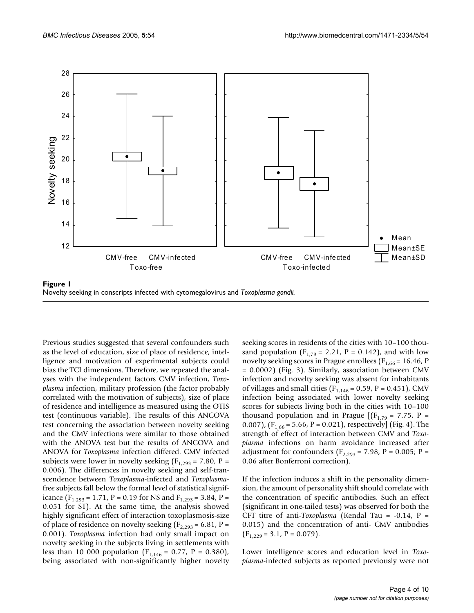



Previous studies suggested that several confounders such as the level of education, size of place of residence, intelligence and motivation of experimental subjects could bias the TCI dimensions. Therefore, we repeated the analyses with the independent factors CMV infection, *Toxoplasma* infection, military profession (the factor probably correlated with the motivation of subjects), size of place of residence and intelligence as measured using the OTIS test (continuous variable). The results of this ANCOVA test concerning the association between novelty seeking and the CMV infections were similar to those obtained with the ANOVA test but the results of ANCOVA and ANOVA for *Toxoplasma* infection differed. CMV infected subjects were lower in novelty seeking ( $F_{1,293}$  = 7.80, P = 0.006). The differences in novelty seeking and self-transcendence between *Toxoplasma*-infected and *Toxoplasma*free subjects fall below the formal level of statistical significance  $(F_{1,293} = 1.71, P = 0.19$  for NS and  $F_{1,293} = 3.84, P =$ 0.051 for ST). At the same time, the analysis showed highly significant effect of interaction toxoplasmosis-size of place of residence on novelty seeking  $(F_{2,293} = 6.81, P =$ 0.001). *Toxoplasma* infection had only small impact on novelty seeking in the subjects living in settlements with less than 10 000 population ( $F_{1,146} = 0.77$ ,  $P = 0.380$ ), being associated with non-significantly higher novelty

seeking scores in residents of the cities with 10–100 thousand population ( $F_{1,79} = 2.21$ ,  $P = 0.142$ ), and with low novelty seeking scores in Prague enrollees ( $F_{1,66}$  = 16.46, P = 0.0002) (Fig. [3](#page-5-0)). Similarly, association between CMV infection and novelty seeking was absent for inhabitants of villages and small cities ( $F_{1,146} = 0.59$ ,  $P = 0.451$ ), CMV infection being associated with lower novelty seeking scores for subjects living both in the cities with 10–100 thousand population and in Prague  $[(F_{1,79} = 7.75, P =$ 0.007),  $(F<sub>1,66</sub> = 5.66, P = 0.021)$ , respectively] (Fig. [4\)](#page-6-0). The strength of effect of interaction between CMV and *Toxoplasma* infections on harm avoidance increased after adjustment for confounders ( $F_{2,293}$  = 7.98, P = 0.005; P = 0.06 after Bonferroni correction).

If the infection induces a shift in the personality dimension, the amount of personality shift should correlate with the concentration of specific antibodies. Such an effect (significant in one-tailed tests) was observed for both the CFT titre of anti-*Toxoplasma* (Kendal Tau = -0.14, P = 0.015) and the concentration of anti- CMV antibodies  $(F<sub>1.229</sub> = 3.1, P = 0.079).$ 

Lower intelligence scores and education level in *Toxoplasma*-infected subjects as reported previously were not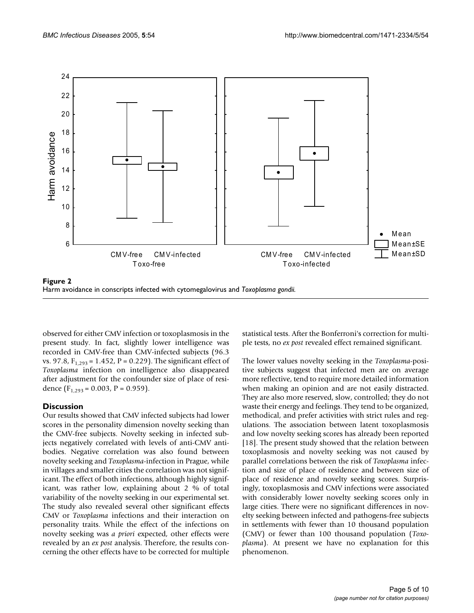

observed for either CMV infection or toxoplasmosis in the present study. In fact, slightly lower intelligence was recorded in CMV-free than CMV-infected subjects (96.3 vs. 97.8,  $F_{1,293} = 1.452$ , P = 0.229). The significant effect of *Toxoplasma* infection on intelligence also disappeared after adjustment for the confounder size of place of residence  $(F_{1,293} = 0.003, P = 0.959)$ .

### **Discussion**

Our results showed that CMV infected subjects had lower scores in the personality dimension novelty seeking than the CMV-free subjects. Novelty seeking in infected subjects negatively correlated with levels of anti-CMV antibodies. Negative correlation was also found between novelty seeking and *Toxoplasma*-infection in Prague, while in villages and smaller cities the correlation was not significant. The effect of both infections, although highly significant, was rather low, explaining about 2 % of total variability of the novelty seeking in our experimental set. The study also revealed several other significant effects CMV or *Toxoplasma* infections and their interaction on personality traits. While the effect of the infections on novelty seeking was *a priori* expected, other effects were revealed by an *ex post* analysis. Therefore, the results concerning the other effects have to be corrected for multiple statistical tests. After the Bonferroni's correction for multiple tests, no *ex post* revealed effect remained significant.

The lower values novelty seeking in the *Toxoplasma*-positive subjects suggest that infected men are on average more reflective, tend to require more detailed information when making an opinion and are not easily distracted. They are also more reserved, slow, controlled; they do not waste their energy and feelings. They tend to be organized, methodical, and prefer activities with strict rules and regulations. The association between latent toxoplasmosis and low novelty seeking scores has already been reported [18]. The present study showed that the relation between toxoplasmosis and novelty seeking was not caused by parallel correlations between the risk of *Toxoplasma* infection and size of place of residence and between size of place of residence and novelty seeking scores. Surprisingly, toxoplasmosis and CMV infections were associated with considerably lower novelty seeking scores only in large cities. There were no significant differences in novelty seeking between infected and pathogens-free subjects in settlements with fewer than 10 thousand population (CMV) or fewer than 100 thousand population (*Toxoplasma*). At present we have no explanation for this phenomenon.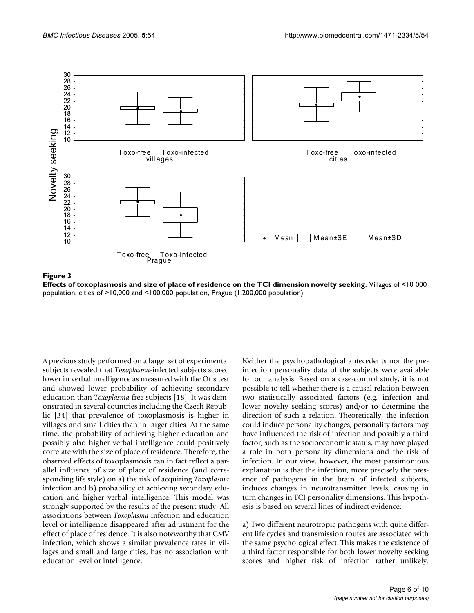<span id="page-5-0"></span>

**Effects of toxoplasmosis and size of place of residence on the TCI dimension novelty seeking.** Villages of <10 000

A previous study performed on a larger set of experimental subjects revealed that *Toxoplasma*-infected subjects scored lower in verbal intelligence as measured with the Otis test and showed lower probability of achieving secondary education than *Toxoplasma*-free subjects [18]. It was demonstrated in several countries including the Czech Republic [34] that prevalence of toxoplasmosis is higher in villages and small cities than in larger cities. At the same time, the probability of achieving higher education and possibly also higher verbal intelligence could positively correlate with the size of place of residence. Therefore, the observed effects of toxoplasmosis can in fact reflect a parallel influence of size of place of residence (and corresponding life style) on a) the risk of acquiring *Toxoplasma* infection and b) probability of achieving secondary education and higher verbal intelligence. This model was strongly supported by the results of the present study. All associations between *Toxoplasma* infection and education level or intelligence disappeared after adjustment for the effect of place of residence. It is also noteworthy that CMV infection, which shows a similar prevalence rates in villages and small and large cities, has no association with education level or intelligence.

Neither the psychopathological antecedents nor the preinfection personality data of the subjects were available for our analysis. Based on a case-control study, it is not possible to tell whether there is a causal relation between two statistically associated factors (e.g. infection and lower novelty seeking scores) and/or to determine the direction of such a relation. Theoretically, the infection could induce personality changes, personality factors may have influenced the risk of infection and possibly a third factor, such as the socioeconomic status, may have played a role in both personality dimensions and the risk of infection. In our view, however, the most parsimonious explanation is that the infection, more precisely the presence of pathogens in the brain of infected subjects, induces changes in neurotransmitter levels, causing in turn changes in TCI personality dimensions. This hypothesis is based on several lines of indirect evidence:

a) Two different neurotropic pathogens with quite different life cycles and transmission routes are associated with the same psychological effect. This makes the existence of a third factor responsible for both lower novelty seeking scores and higher risk of infection rather unlikely.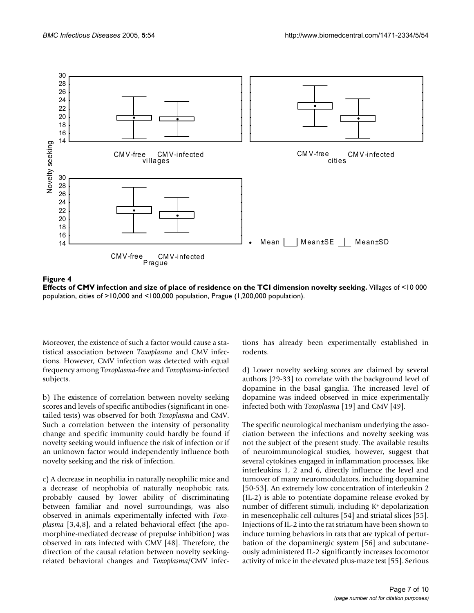<span id="page-6-0"></span>

**Effects of CMV infection and size of place of residence on the TCI dimension novelty seeking.** Villages of <10 000

Moreover, the existence of such a factor would cause a statistical association between *Toxoplasma* and CMV infections. However, CMV infection was detected with equal frequency among *Toxoplasma*-free and *Toxoplasma*-infected subjects.

b) The existence of correlation between novelty seeking scores and levels of specific antibodies (significant in onetailed tests) was observed for both *Toxoplasma* and CMV. Such a correlation between the intensity of personality change and specific immunity could hardly be found if novelty seeking would influence the risk of infection or if an unknown factor would independently influence both novelty seeking and the risk of infection.

c) A decrease in neophilia in naturally neophilic mice and a decrease of neophobia of naturally neophobic rats, probably caused by lower ability of discriminating between familiar and novel surroundings, was also observed in animals experimentally infected with *Toxoplasma* [3,4,8], and a related behavioral effect (the apomorphine-mediated decrease of prepulse inhibition) was observed in rats infected with CMV [48]. Therefore, the direction of the causal relation between novelty seekingrelated behavioral changes and *Toxoplasma*/CMV infections has already been experimentally established in rodents.

d) Lower novelty seeking scores are claimed by several authors [29-33] to correlate with the background level of dopamine in the basal ganglia. The increased level of dopamine was indeed observed in mice experimentally infected both with *Toxoplasma* [19] and CMV [49].

The specific neurological mechanism underlying the association between the infections and novelty seeking was not the subject of the present study. The available results of neuroimmunological studies, however, suggest that several cytokines engaged in inflammation processes, like interleukins 1, 2 and 6, directly influence the level and turnover of many neuromodulators, including dopamine [50-53]. An extremely low concentration of interleukin 2 (IL-2) is able to potentiate dopamine release evoked by number of different stimuli, including K+ depolarization in mesencephalic cell cultures [54] and striatal slices [55]. Injections of IL-2 into the rat striatum have been shown to induce turning behaviors in rats that are typical of perturbation of the dopaminergic system [56] and subcutaneously administered IL-2 significantly increases locomotor activity of mice in the elevated plus-maze test [55]. Serious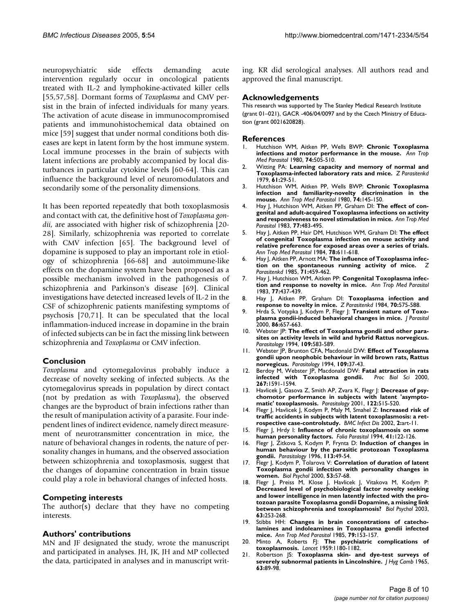neuropsychiatric side effects demanding acute intervention regularly occur in oncological patients treated with IL-2 and lymphokine-activated killer cells [55,57,58]. Dormant forms of *Toxoplasma* and CMV persist in the brain of infected individuals for many years. The activation of acute disease in immunocompromised patients and immunohistochemical data obtained on mice [59] suggest that under normal conditions both diseases are kept in latent form by the host immune system. Local immune processes in the brain of subjects with latent infections are probably accompanied by local disturbances in particular cytokine levels [60-64]. This can influence the background level of neuromodulators and secondarily some of the personality dimensions.

It has been reported repeatedly that both toxoplasmosis and contact with cat, the definitive host of *Toxoplasma gondii*, are associated with higher risk of schizophrenia [20- 28]. Similarly, schizophrenia was reported to correlate with CMV infection [65]. The background level of dopamine is supposed to play an important role in etiology of schizophrenia [66-68] and autoimmune-like effects on the dopamine system have been proposed as a possible mechanism involved in the pathogenesis of schizophrenia and Parkinson's disease [69]. Clinical investigations have detected increased levels of IL-2 in the CSF of schizophrenic patients manifesting symptoms of psychosis [70,71]. It can be speculated that the local inflammation-induced increase in dopamine in the brain of infected subjects can be in fact the missing link between schizophrenia and *Toxoplasma* or CMV infection.

#### **Conclusion**

*Toxoplasma* and cytomegalovirus probably induce a decrease of novelty seeking of infected subjects. As the cytomegalovirus spreads in population by direct contact (not by predation as with *Toxoplasma*), the observed changes are the byproduct of brain infections rather than the result of manipulation activity of a parasite. Four independent lines of indirect evidence, namely direct measurement of neurotransmitter concentration in mice, the nature of behavioral changes in rodents, the nature of personality changes in humans, and the observed association between schizophrenia and toxoplasmosis, suggest that the changes of dopamine concentration in brain tissue could play a role in behavioral changes of infected hosts.

#### **Competing interests**

The author(s) declare that they have no competing interests.

#### **Authors' contributions**

MN and JF designated the study, wrote the manuscript and participated in analyses. JH, JK, JH and MP collected the data, participated in analyses and in manuscript writing. KR did serological analyses. All authors read and approved the final manuscript.

#### **Acknowledgements**

This research was supported by The Stanley Medical Research Institute (grant 01–021), GACR -406/04/0097 and by the Czech Ministry of Education (grant 0021620828).

#### **References**

- 1. Hutchison WM, Aitken PP, Wells BWP: **[Chronic Toxoplasma](http://www.ncbi.nlm.nih.gov/entrez/query.fcgi?cmd=Retrieve&db=PubMed&dopt=Abstract&list_uids=7469564) [infections and motor performance in the mouse.](http://www.ncbi.nlm.nih.gov/entrez/query.fcgi?cmd=Retrieve&db=PubMed&dopt=Abstract&list_uids=7469564)** *Ann Trop Med Parasitol* 1980, **74:**505-510.
- 2. Witting PA: **[Learning capacity and memory of normal and](http://www.ncbi.nlm.nih.gov/entrez/query.fcgi?cmd=Retrieve&db=PubMed&dopt=Abstract&list_uids=543216) [Toxoplasma-infected laboratory rats and mice.](http://www.ncbi.nlm.nih.gov/entrez/query.fcgi?cmd=Retrieve&db=PubMed&dopt=Abstract&list_uids=543216)** *Z Parasitenkd* 1979, **61:**29-51.
- 3. Hutchison WM, Aitken PP, Wells BWP: **[Chronic Toxoplasma](http://www.ncbi.nlm.nih.gov/entrez/query.fcgi?cmd=Retrieve&db=PubMed&dopt=Abstract&list_uids=7436599) [infection and familiarity-novelty discrimination in the](http://www.ncbi.nlm.nih.gov/entrez/query.fcgi?cmd=Retrieve&db=PubMed&dopt=Abstract&list_uids=7436599) [mouse.](http://www.ncbi.nlm.nih.gov/entrez/query.fcgi?cmd=Retrieve&db=PubMed&dopt=Abstract&list_uids=7436599)** *Ann Trop Med Parasitol* 1980, **74:**145-150.
- 4. Hay J, Hutchison WM, Aitken PP, Graham DI: **[The effect of con](http://www.ncbi.nlm.nih.gov/entrez/query.fcgi?cmd=Retrieve&db=PubMed&dopt=Abstract&list_uids=6660954)[genital and adult-acquired Toxoplasma infections on activity](http://www.ncbi.nlm.nih.gov/entrez/query.fcgi?cmd=Retrieve&db=PubMed&dopt=Abstract&list_uids=6660954) [and responsiveness to novel stimulation in mice.](http://www.ncbi.nlm.nih.gov/entrez/query.fcgi?cmd=Retrieve&db=PubMed&dopt=Abstract&list_uids=6660954)** *Ann Trop Med Parasitol* 1983, **77:**483-495.
- 5. Hay J, Aitken PP, Hair DM, Hutchison WM, Graham DI: **[The effect](http://www.ncbi.nlm.nih.gov/entrez/query.fcgi?cmd=Retrieve&db=PubMed&dopt=Abstract&list_uids=6532331) [of congenital Toxoplasma infection on mouse activity and](http://www.ncbi.nlm.nih.gov/entrez/query.fcgi?cmd=Retrieve&db=PubMed&dopt=Abstract&list_uids=6532331) relative preference for exposed areas over a series of trials.** *Ann Trop Med Parasitol* 1984, **78:**611-618.
- 6. Hay J, Aitken PP, Arnott MA: **[The influence of Toxoplasma infec](http://www.ncbi.nlm.nih.gov/entrez/query.fcgi?cmd=Retrieve&db=PubMed&dopt=Abstract&list_uids=4040684)[tion on the spontaneous running activity of mice.](http://www.ncbi.nlm.nih.gov/entrez/query.fcgi?cmd=Retrieve&db=PubMed&dopt=Abstract&list_uids=4040684)** *Z Parasitenkd* 1985, **71:**459-462.
- 7. Hay J, Hutchison WM, Aitken PP: **[Congenital Toxoplasma infec](http://www.ncbi.nlm.nih.gov/entrez/query.fcgi?cmd=Retrieve&db=PubMed&dopt=Abstract&list_uids=6639188)[tion and response to novelty in mice.](http://www.ncbi.nlm.nih.gov/entrez/query.fcgi?cmd=Retrieve&db=PubMed&dopt=Abstract&list_uids=6639188)** *Ann Trop Med Parasitol* 1983, **77:**437-439.
- 8. Hay J, Aitken PP, Graham DI: **[Toxoplasma infection and](http://www.ncbi.nlm.nih.gov/entrez/query.fcgi?cmd=Retrieve&db=PubMed&dopt=Abstract&list_uids=6506841) [response to novelty in mice.](http://www.ncbi.nlm.nih.gov/entrez/query.fcgi?cmd=Retrieve&db=PubMed&dopt=Abstract&list_uids=6506841)** *Z Parasitenkd* 1984, **70:**575-588.
- 9. Hrda S, Votypka J, Kodym P, Flegr J: **[Transient nature of Toxo](http://www.ncbi.nlm.nih.gov/entrez/query.fcgi?cmd=Retrieve&db=PubMed&dopt=Abstract&list_uids=10958436)[plasma gondii-induced behavioral changes in mice.](http://www.ncbi.nlm.nih.gov/entrez/query.fcgi?cmd=Retrieve&db=PubMed&dopt=Abstract&list_uids=10958436)** *J Parasitol* 2000, **86:**657-663.
- 10. Webster JP: **[The effect of Toxoplasma gondii and other para](http://www.ncbi.nlm.nih.gov/entrez/query.fcgi?cmd=Retrieve&db=PubMed&dopt=Abstract&list_uids=7831094)[sites on activity levels in wild and hybrid Rattus norvegicus.](http://www.ncbi.nlm.nih.gov/entrez/query.fcgi?cmd=Retrieve&db=PubMed&dopt=Abstract&list_uids=7831094)** *Parasitology* 1994, **109:**583-589.
- 11. Webster JP, Brunton CFA, Macdonald DW: **[Effect of Toxoplasma](http://www.ncbi.nlm.nih.gov/entrez/query.fcgi?cmd=Retrieve&db=PubMed&dopt=Abstract&list_uids=8058367) [gondii upon neophobic behaviour in wild brown rats, Rattus](http://www.ncbi.nlm.nih.gov/entrez/query.fcgi?cmd=Retrieve&db=PubMed&dopt=Abstract&list_uids=8058367) [norvegicus.](http://www.ncbi.nlm.nih.gov/entrez/query.fcgi?cmd=Retrieve&db=PubMed&dopt=Abstract&list_uids=8058367)** *Parasitology* 1994, **109:**37-43.
- 12. Berdoy M, Webster JP, Macdonald DW: **[Fatal attraction in rats](http://www.ncbi.nlm.nih.gov/entrez/query.fcgi?cmd=Retrieve&db=PubMed&dopt=Abstract&list_uids=11007336) [infected with Toxoplasma gondii.](http://www.ncbi.nlm.nih.gov/entrez/query.fcgi?cmd=Retrieve&db=PubMed&dopt=Abstract&list_uids=11007336)** *Proc Biol Sci* 2000, **267:**1591-1594.
- 13. Havlicek J, Gasova Z, Smith AP, Zvara K, Flegr J: [Decrease of psy](http://www.ncbi.nlm.nih.gov/entrez/query.fcgi?cmd=Retrieve&db=PubMed&dopt=Abstract&list_uids=11393824)**[chomotor performance in subjects with latent 'asympto](http://www.ncbi.nlm.nih.gov/entrez/query.fcgi?cmd=Retrieve&db=PubMed&dopt=Abstract&list_uids=11393824)[matic' toxoplasmosis.](http://www.ncbi.nlm.nih.gov/entrez/query.fcgi?cmd=Retrieve&db=PubMed&dopt=Abstract&list_uids=11393824)** *Parasitology* 2001, **122:**515-520.
- 14. Flegr J, Havlicek J, Kodym P, Maly M, Smahel Z: **Increased risk of traffic accidents in subjects with latent toxoplasmosis: a retrospective case-controlstudy.** *BMC Infect Dis* 2002, **2:**art-11.
- 15. Flegr J, Hrdy I: **[Influence of chronic toxoplasmosis on some](http://www.ncbi.nlm.nih.gov/entrez/query.fcgi?cmd=Retrieve&db=PubMed&dopt=Abstract&list_uids=7927062) [human personality factors.](http://www.ncbi.nlm.nih.gov/entrez/query.fcgi?cmd=Retrieve&db=PubMed&dopt=Abstract&list_uids=7927062)** *Folia Parasitol* 1994, **41:**122-126.
- 16. Flegr J, Zitkova S, Kodym P, Frynta D: **[Induction of changes in](http://www.ncbi.nlm.nih.gov/entrez/query.fcgi?cmd=Retrieve&db=PubMed&dopt=Abstract&list_uids=8710414) [human behaviour by the parasitic protozoan Toxoplasma](http://www.ncbi.nlm.nih.gov/entrez/query.fcgi?cmd=Retrieve&db=PubMed&dopt=Abstract&list_uids=8710414) [gondii.](http://www.ncbi.nlm.nih.gov/entrez/query.fcgi?cmd=Retrieve&db=PubMed&dopt=Abstract&list_uids=8710414)** *Parasitology* 1996, **113:**49-54.
- 17. Flegr J, Kodym P, Tolarova V: **[Correlation of duration of latent](http://www.ncbi.nlm.nih.gov/entrez/query.fcgi?cmd=Retrieve&db=PubMed&dopt=Abstract&list_uids=10876065) [Toxoplasma gondii infection with personality changes in](http://www.ncbi.nlm.nih.gov/entrez/query.fcgi?cmd=Retrieve&db=PubMed&dopt=Abstract&list_uids=10876065) [women.](http://www.ncbi.nlm.nih.gov/entrez/query.fcgi?cmd=Retrieve&db=PubMed&dopt=Abstract&list_uids=10876065)** *Biol Psychol* 2000, **53:**57-68.
- 18. Flegr J, Preiss M, Klose J, Havlicek J, Vitakova M, Kodym P: **[Decreased level of psychobiological factor novelty seeking](http://www.ncbi.nlm.nih.gov/entrez/query.fcgi?cmd=Retrieve&db=PubMed&dopt=Abstract&list_uids=12853170) and lower intelligence in men latently infected with the protozoan parasite Toxoplasma gondii Dopamine, a missing link [between schizophrenia and toxoplasmosis?](http://www.ncbi.nlm.nih.gov/entrez/query.fcgi?cmd=Retrieve&db=PubMed&dopt=Abstract&list_uids=12853170)** *Biol Psychol* 2003, **63:**253-268.
- 19. Stibbs HH: **[Changes in brain concentrations of catecho](http://www.ncbi.nlm.nih.gov/entrez/query.fcgi?cmd=Retrieve&db=PubMed&dopt=Abstract&list_uids=2420295)[lamines and indoleamines in Toxoplasma gondii infected](http://www.ncbi.nlm.nih.gov/entrez/query.fcgi?cmd=Retrieve&db=PubMed&dopt=Abstract&list_uids=2420295) [mice.](http://www.ncbi.nlm.nih.gov/entrez/query.fcgi?cmd=Retrieve&db=PubMed&dopt=Abstract&list_uids=2420295)** *Ann Trop Med Parasitol* 1985, **79:**153-157.
- 20. Minto A, Roberts FJ: **[The psychiatric complications of](http://www.ncbi.nlm.nih.gov/entrez/query.fcgi?cmd=Retrieve&db=PubMed&dopt=Abstract&list_uids=13666004) [toxoplasmosis.](http://www.ncbi.nlm.nih.gov/entrez/query.fcgi?cmd=Retrieve&db=PubMed&dopt=Abstract&list_uids=13666004)** *Lancet* 1959:1180-1182.
- 21. Robertson JS: **[Toxoplasma skin- and dye-test surveys of](http://www.ncbi.nlm.nih.gov/entrez/query.fcgi?cmd=Retrieve&db=PubMed&dopt=Abstract&list_uids=14271931) [severely subnormal patients in Lincolnshire.](http://www.ncbi.nlm.nih.gov/entrez/query.fcgi?cmd=Retrieve&db=PubMed&dopt=Abstract&list_uids=14271931)** *J Hyg Camb* 1965, **63:**89-98.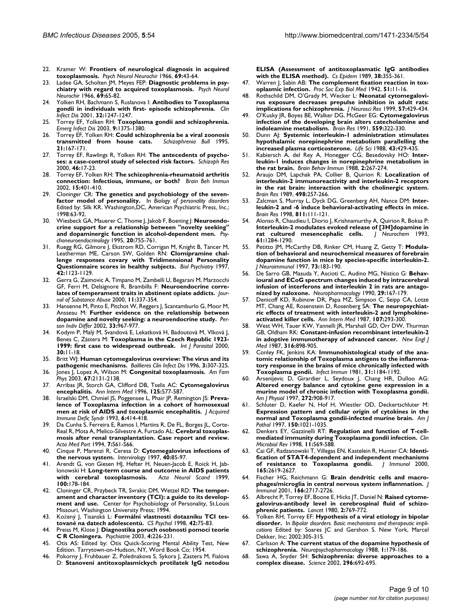- 22. Kramer W: **Frontiers of neurological diagnosis in acquired toxoplasmosis.** *Psych Neurol Neurochir* 1966, **69:**43-64.
- 23. Ladee GA, Scholten JM, Meyes FEP: **Diagnostic problems in psychiatry with regard to acquired toxoplasmosis.** *Psych Neurol Neurochir* 1966, **69:**65-82.
- 24. Yolken RH, Bachmann S, Ruslanova I: **Antibodies to Toxoplasma gondii in individuals with first- episode schizophrenia.** *Clin Infect Dis* 2001, **32:**1247-1247.
- 25. Torrey EF, Yolken RH: **[Toxoplasma gondii and schizophrenia.](http://www.ncbi.nlm.nih.gov/entrez/query.fcgi?cmd=Retrieve&db=PubMed&dopt=Abstract&list_uids=14725265)** *Emerg Infect Dis* 2003, **9:**1375-1380.
- 26. Torrey EF, Yolken RH: **Could schizophrenia be a viral zoonosis transmitted from house cats.** *Schizophrenia Bull* 1995, **21:**167-171.
- 27. Torrey EF, Rawlings R, Yolken RH: **The antecedents of psychoses: a case-control study of selected risk factors.** *Schizoph Res* 2000, **46:**17-23.
- 28. Torrey EF, Yolken RH: **The schizophrenia-rheumatoid arthritis connection: Infectious, immune, or both?** *Brain Beh Immun* 2002, **15:**401-410.
- 29. Cloninger CR: **The genetics and psychobiology of the sevenfactor model of personality.** In *Biology of personality disorders* Edited by: Silk KR. Washington,DC, American Psychiatric Press, Inc.; 1998:63-92.
- 30. Wiesbeck GA, Mauerer C, Thome J, Jakob F, Boening J: **[Neuroendo](http://www.ncbi.nlm.nih.gov/entrez/query.fcgi?cmd=Retrieve&db=PubMed&dopt=Abstract&list_uids=8848521)[crine support for a relationship between "novelty seeking"](http://www.ncbi.nlm.nih.gov/entrez/query.fcgi?cmd=Retrieve&db=PubMed&dopt=Abstract&list_uids=8848521) [and dopaminergic function in alcohol-dependent men.](http://www.ncbi.nlm.nih.gov/entrez/query.fcgi?cmd=Retrieve&db=PubMed&dopt=Abstract&list_uids=8848521)** *Psychoneuroendocrinology* 1995, **20:**755-761.
- 31. Ruegg RG, Gilmore J, Ekstrom RD, Corrigan M, Knight B, Tancer M, Leatherman ME, Carson SW, Golden RN: **[Clomipramine chal](http://www.ncbi.nlm.nih.gov/entrez/query.fcgi?cmd=Retrieve&db=PubMed&dopt=Abstract&list_uids=9426882)[lenge responses covary with Tridimensional Personality](http://www.ncbi.nlm.nih.gov/entrez/query.fcgi?cmd=Retrieve&db=PubMed&dopt=Abstract&list_uids=9426882) [Questionnaire scores in healthy subjects.](http://www.ncbi.nlm.nih.gov/entrez/query.fcgi?cmd=Retrieve&db=PubMed&dopt=Abstract&list_uids=9426882)** *Biol Psychiatry* 1997, **42:**1123-1129.
- 32. Gerra G, Zaimovic A, Timpano M, Zambelli U, Begarani M, Marzocchi GF, Ferri M, Delsignore R, Brambilla F: **[Neuroendocrine corre](http://www.ncbi.nlm.nih.gov/entrez/query.fcgi?cmd=Retrieve&db=PubMed&dopt=Abstract&list_uids=11147231)[lates of temperament traits in abstinent opiate addicts.](http://www.ncbi.nlm.nih.gov/entrez/query.fcgi?cmd=Retrieve&db=PubMed&dopt=Abstract&list_uids=11147231)** *Journal of Substance Abuse* 2000, **11:**337-354.
- 33. Hansenne M, Pinto E, Pitchot W, Reggers J, Scantamburlo G, Moor M, Ansseau M: **Further evidence on the relationship between dopamine and novelty seeking: a neuroendocrine study.** *Person Indiv Differ* 2002, **33:**967-977.
- 34. Kodym P, Malý M, Svandová E, Lekatková H, Badoutová M, Vlková J, Benes C, Zástera M: **Toxoplasma in the Czech Republic 1923- 1999: first case to widespread outbreak.** *Int J Parasitol* 2000, **30:**11-18.
- 35. Britt WJ: **Human cytomegalovirus overview: The virus and its pathogenic mechanisms.** *Baillieres Clin Infect Dis* 1996, **3:**307-325.
- 36. Jones J, Lopez A, Wilson M: **[Congenital toxoplasmosis.](http://www.ncbi.nlm.nih.gov/entrez/query.fcgi?cmd=Retrieve&db=PubMed&dopt=Abstract&list_uids=12776962)** *Am Fam Phys* 2003, **67:**2131-2138.
- 37. Arribas JR, Storch GA, Clifford DB, Tselis AC: **[Cytomegalovirus](http://www.ncbi.nlm.nih.gov/entrez/query.fcgi?cmd=Retrieve&db=PubMed&dopt=Abstract&list_uids=8815757) [encephalitis.](http://www.ncbi.nlm.nih.gov/entrez/query.fcgi?cmd=Retrieve&db=PubMed&dopt=Abstract&list_uids=8815757)** *Ann Intern Med* 1996, **125:**577-587.
- 38. Israelski DM, Chmiel JS, Poggensee L, Phair JP, Remington JS: **Prevalence of Toxoplasma infection in a cohort of homosexual men at risk of AIDS and toxoplasmic encephalitis.** *J Acquired Immune Defic Syndr* 1993, **6:**414-418.
- 39. Da Cunha S, Ferreira E, Ramos I, Martins R, De FL, Borges JL, Corte-Real R, Mota A, Melico-Silvestre A, Furtado AL: **[Cerebral toxoplas](http://www.ncbi.nlm.nih.gov/entrez/query.fcgi?cmd=Retrieve&db=PubMed&dopt=Abstract&list_uids=7653283)[mosis after renal transplantation. Case report and review.](http://www.ncbi.nlm.nih.gov/entrez/query.fcgi?cmd=Retrieve&db=PubMed&dopt=Abstract&list_uids=7653283)** *Acta Med Port* 1994, **7:**S61-S66.
- 40. Cinque P, Marenzi R, Ceresa D: **[Cytomegalovirus infections of](http://www.ncbi.nlm.nih.gov/entrez/query.fcgi?cmd=Retrieve&db=PubMed&dopt=Abstract&list_uids=9450226) [the nervous system.](http://www.ncbi.nlm.nih.gov/entrez/query.fcgi?cmd=Retrieve&db=PubMed&dopt=Abstract&list_uids=9450226)** *Intervirology* 1997, **40:**85-97.
- 41. Arendt G, von Giesen HJ, Hefter H, Neuen-Jacob E, Roick H, Jablonowski H: **[Long-term course and outcome in AIDS patients](http://www.ncbi.nlm.nih.gov/entrez/query.fcgi?cmd=Retrieve&db=PubMed&dopt=Abstract&list_uids=10478582)** [with cerebral toxoplasmosis.](http://www.ncbi.nlm.nih.gov/entrez/query.fcgi?cmd=Retrieve&db=PubMed&dopt=Abstract&list_uids=10478582) **100:**178-184.
- 42. Cloninger CR, Przybeck TR, Svrakic DM, Wetzel RD: **The temperament and character inventory (TCI): a guide to its development and use.** Center for Psychobiology of Personality, St.Louis Missouri, Washington University Press; 1994.
- 43. Kožený J, Tisanská L: **Formální vlastnosti dotazníku TCI testované na datech adolescentù.** *CS Psychol* 1998, **42:**75-83.
- 44. Preiss M, Klose J: **Diagnostika poruch osobnosti pomocí teorie C R Cloningera.** *Psychiatrie* 2003, **4:**226-231.
- Otis AS: Edited by: Otis Quick-Scoring Mental Ability Test, New Edition. Tarrytown-on-Hudson, NY, Word Book Co; 1954.
- 46. Pokorny J, Fruhbauer Z, Polednakova S, Sykora J, Zastera M, Fialova D: **Stanoveni antitoxoplasmickych protilatek IgG netodou**

**ELISA (Assessment of antitoxoplasmatic IgG antibodies with the ELISA method).** *Cs Epidem* 1989, **38:**355-361.

- 47. Warren J, Sabin AB: **The complement fixation reaction in toxoplasmic infection.** *Proc Soc Exp Biol Med* 1942, **51:**11-16.
- 48. Rothschild DM, O'Grady M, Wecker L: **[Neonatal cytomegalovi](http://www.ncbi.nlm.nih.gov/entrez/query.fcgi?cmd=Retrieve&db=PubMed&dopt=Abstract&list_uids=10440892)[rus exposure decreases prepulse inhibition in adult rats:](http://www.ncbi.nlm.nih.gov/entrez/query.fcgi?cmd=Retrieve&db=PubMed&dopt=Abstract&list_uids=10440892) [implications for schizophrenia.](http://www.ncbi.nlm.nih.gov/entrez/query.fcgi?cmd=Retrieve&db=PubMed&dopt=Abstract&list_uids=10440892)** *J Neurosci Res* 1999, **57:**429-434.
- 49. O'Kusky JR, Boyes BE, Walker DG, McGeer EG: **[Cytomegalovirus](http://www.ncbi.nlm.nih.gov/entrez/query.fcgi?cmd=Retrieve&db=PubMed&dopt=Abstract&list_uids=1724407) [infection of the developing brain alters catecholamine and](http://www.ncbi.nlm.nih.gov/entrez/query.fcgi?cmd=Retrieve&db=PubMed&dopt=Abstract&list_uids=1724407) [indoleamine metabolism.](http://www.ncbi.nlm.nih.gov/entrez/query.fcgi?cmd=Retrieve&db=PubMed&dopt=Abstract&list_uids=1724407)** *Brain Res* 1991, **559:**322-330.
- 50. Dunn AJ: **[Systemic interleukin-1 administration stimulates](http://www.ncbi.nlm.nih.gov/entrez/query.fcgi?cmd=Retrieve&db=PubMed&dopt=Abstract&list_uids=3260987) [hypothalamic norepinephrine metabolism parallelling the](http://www.ncbi.nlm.nih.gov/entrez/query.fcgi?cmd=Retrieve&db=PubMed&dopt=Abstract&list_uids=3260987) [increased plasma corticosterone.](http://www.ncbi.nlm.nih.gov/entrez/query.fcgi?cmd=Retrieve&db=PubMed&dopt=Abstract&list_uids=3260987)** *Life Sci* 1988, **43:**429-435.
- 51. Kabiersch A, del Rey A, Honegger CG, Besedovsky HO: **[Inter](http://www.ncbi.nlm.nih.gov/entrez/query.fcgi?cmd=Retrieve&db=PubMed&dopt=Abstract&list_uids=3266560)[leukin-1 induces changes in norepinephrine metabolism in](http://www.ncbi.nlm.nih.gov/entrez/query.fcgi?cmd=Retrieve&db=PubMed&dopt=Abstract&list_uids=3266560) [the rat brain.](http://www.ncbi.nlm.nih.gov/entrez/query.fcgi?cmd=Retrieve&db=PubMed&dopt=Abstract&list_uids=3266560)** *Brain Behav Immun* 1988, **2:**267-274.
- 52. Araujo DM, Lapchak PA, Collier B, Quirion R: **[Localization of](http://www.ncbi.nlm.nih.gov/entrez/query.fcgi?cmd=Retrieve&db=PubMed&dopt=Abstract&list_uids=2790482) interleukin-2 immunoreactivity and interleukin-2 receptors [in the rat brain: interaction with the cholinergic system.](http://www.ncbi.nlm.nih.gov/entrez/query.fcgi?cmd=Retrieve&db=PubMed&dopt=Abstract&list_uids=2790482)** *Brain Res* 1989, **498:**257-266.
- 53. Zalcman S, Murray L, Dyck DG, Greenberg AH, Nance DM: **[Inter](http://www.ncbi.nlm.nih.gov/entrez/query.fcgi?cmd=Retrieve&db=PubMed&dopt=Abstract&list_uids=9804916)[leukin-2 and -6 induce behavioral-activating effects in mice.](http://www.ncbi.nlm.nih.gov/entrez/query.fcgi?cmd=Retrieve&db=PubMed&dopt=Abstract&list_uids=9804916)** *Brain Res* 1998, **811:**111-121.
- 54. Alonso R, Chaudieu I, Diorio J, Krishnamurthy A, Quirion R, Boksa P: **[Interleukin-2 modulates evoked release of \[3H\]dopamine in](http://www.ncbi.nlm.nih.gov/entrez/query.fcgi?cmd=Retrieve&db=PubMed&dopt=Abstract&list_uids=8376986) [rat cultured mesencephalic cells.](http://www.ncbi.nlm.nih.gov/entrez/query.fcgi?cmd=Retrieve&db=PubMed&dopt=Abstract&list_uids=8376986)** *J Neurochem* 1993, **61:**1284-1290.
- 55. Petitto JM, McCarthy DB, Rinker CM, Huang Z, Getty T: **[Modula](http://www.ncbi.nlm.nih.gov/entrez/query.fcgi?cmd=Retrieve&db=PubMed&dopt=Abstract&list_uids=9058775)[tion of behavioral and neurochemical measures of forebrain](http://www.ncbi.nlm.nih.gov/entrez/query.fcgi?cmd=Retrieve&db=PubMed&dopt=Abstract&list_uids=9058775) dopamine function in mice by species-specific interleukin-2.** *J Neuroimmunol* 1997, **73:**183-190.
- 56. De Sarro GB, Masuda Y, Ascioti C, Audino MG, Nistico G: **[Behav](http://www.ncbi.nlm.nih.gov/entrez/query.fcgi?cmd=Retrieve&db=PubMed&dopt=Abstract&list_uids=1691831)[ioural and ECoG spectrum changes induced by intracerebral](http://www.ncbi.nlm.nih.gov/entrez/query.fcgi?cmd=Retrieve&db=PubMed&dopt=Abstract&list_uids=1691831) infusion of interferons and interleukin 2 in rats are antago[nized by naloxone.](http://www.ncbi.nlm.nih.gov/entrez/query.fcgi?cmd=Retrieve&db=PubMed&dopt=Abstract&list_uids=1691831)** *Neuropharmacology* 1990, **29:**167-179.
- 57. Denicoff KD, Rubinow DR, Papa MZ, Simpson C, Seipp CA, Lotze MT, Chang AE, Rosenstein D, Rosenberg SA: **[The neuropsychiat](http://www.ncbi.nlm.nih.gov/entrez/query.fcgi?cmd=Retrieve&db=PubMed&dopt=Abstract&list_uids=3497595)[ric effects of treatment with interleukin-2 and lymphokine](http://www.ncbi.nlm.nih.gov/entrez/query.fcgi?cmd=Retrieve&db=PubMed&dopt=Abstract&list_uids=3497595)[activated killer cells.](http://www.ncbi.nlm.nih.gov/entrez/query.fcgi?cmd=Retrieve&db=PubMed&dopt=Abstract&list_uids=3497595)** *Ann Intern Med* 1987, **107:**293-300.
- 58. West WH, Tauer KW, Yannelli JR, Marshall GD, Orr DW, Thurman GB, Oldham RK: **[Constant-infusion recombinant interleukin-2](http://www.ncbi.nlm.nih.gov/entrez/query.fcgi?cmd=Retrieve&db=PubMed&dopt=Abstract&list_uids=3493433) [in adoptive immunotherapy of advanced cancer.](http://www.ncbi.nlm.nih.gov/entrez/query.fcgi?cmd=Retrieve&db=PubMed&dopt=Abstract&list_uids=3493433)** *New Engl J Med* 1987, **316:**898-905.
- 59. Conley FK, Jenkins KA: **[Immunohistological study of the ana](http://www.ncbi.nlm.nih.gov/entrez/query.fcgi?cmd=Retrieve&db=PubMed&dopt=Abstract&list_uids=7228401)[tomic relationship of Toxoplasma antigens to the inflamma](http://www.ncbi.nlm.nih.gov/entrez/query.fcgi?cmd=Retrieve&db=PubMed&dopt=Abstract&list_uids=7228401)tory response in the brains of mice chronically infected with [Toxoplasma gondii.](http://www.ncbi.nlm.nih.gov/entrez/query.fcgi?cmd=Retrieve&db=PubMed&dopt=Abstract&list_uids=7228401)** *Infect Immun* 1981, **31:**1184-1192.
- 60. Arsenijevic D, Girardier L, Seydoux J, Chang HR, Dulloo AG: **Altered energy balance and cytokine gene expression in a murine model of chronic infection with Toxoplasma gondii.** *Am J Physiol* 1997, **272:**908-917.
- 61. Schluter D, Kaefer N, Hof H, Wiestler OD, Deckertschluter M: **[Expression pattern and cellular origin of cytokines in the](http://www.ncbi.nlm.nih.gov/entrez/query.fcgi?cmd=Retrieve&db=PubMed&dopt=Abstract&list_uids=9060839) [normal and Toxoplasma gondii-infected murine brain.](http://www.ncbi.nlm.nih.gov/entrez/query.fcgi?cmd=Retrieve&db=PubMed&dopt=Abstract&list_uids=9060839)** *Am J Pathol* 1997, **150:**1021-1035.
- 62. Denkers EY, Gazzinelli RT: **[Regulation and function of T-cell](http://www.ncbi.nlm.nih.gov/entrez/query.fcgi?cmd=Retrieve&db=PubMed&dopt=Abstract&list_uids=9767056)[mediated immunity during Toxoplasma gondii infection.](http://www.ncbi.nlm.nih.gov/entrez/query.fcgi?cmd=Retrieve&db=PubMed&dopt=Abstract&list_uids=9767056)** *Clin Microbiol Rev* 1998, **11:**569-588.
- 63. Cai GF, Radzanowski T, Villegas EN, Kastelein R, Hunter CA: **[Identi](http://www.ncbi.nlm.nih.gov/entrez/query.fcgi?cmd=Retrieve&db=PubMed&dopt=Abstract&list_uids=10946290)[fication of STAT4-dependent and independent mechanisms](http://www.ncbi.nlm.nih.gov/entrez/query.fcgi?cmd=Retrieve&db=PubMed&dopt=Abstract&list_uids=10946290) [of resistance to Toxoplasma gondii.](http://www.ncbi.nlm.nih.gov/entrez/query.fcgi?cmd=Retrieve&db=PubMed&dopt=Abstract&list_uids=10946290)** *J Immunol* 2000, **165:**2619-2627.
- 64. Fischer HG, Reichmann G: **[Brain dendritic cells and macro](http://www.ncbi.nlm.nih.gov/entrez/query.fcgi?cmd=Retrieve&db=PubMed&dopt=Abstract&list_uids=11160337)[phages/microglia in central nervous system inflammation.](http://www.ncbi.nlm.nih.gov/entrez/query.fcgi?cmd=Retrieve&db=PubMed&dopt=Abstract&list_uids=11160337)** *J Immunol* 2001, **166:**2717-2726.
- 65. Albrecht P, Torrey EF, Boone E, Hicks JT, Daniel N: **[Raised cytome](http://www.ncbi.nlm.nih.gov/entrez/query.fcgi?cmd=Retrieve&db=PubMed&dopt=Abstract&list_uids=6107453)[galovirus-antibody level in cerebrospinal fluid of schizo](http://www.ncbi.nlm.nih.gov/entrez/query.fcgi?cmd=Retrieve&db=PubMed&dopt=Abstract&list_uids=6107453)[phrenic patients.](http://www.ncbi.nlm.nih.gov/entrez/query.fcgi?cmd=Retrieve&db=PubMed&dopt=Abstract&list_uids=6107453)** *Lancet* 1980, **2:**769-772.
- 66. Yolken RH, Torrey EF: **Hypothesis of a viral etiology in bipolar disorder.** In *Bipolar disorders. Basic mechanisms and therapeutic implications* Edited by: Soares JC and Gershon S. New York, Marcel Dekker, Inc; 2002:305-315.
- 67. Carlsson A: **[The current status of the dopamine hypothesis of](http://www.ncbi.nlm.nih.gov/entrez/query.fcgi?cmd=Retrieve&db=PubMed&dopt=Abstract&list_uids=3075131) [schizophrenia.](http://www.ncbi.nlm.nih.gov/entrez/query.fcgi?cmd=Retrieve&db=PubMed&dopt=Abstract&list_uids=3075131)** *Neuropsychopharmacology* 1988, **1:**179-186.
- 68. Sawa A, Snyder SH: **[Schizophrenia: diverse approaches to a](http://www.ncbi.nlm.nih.gov/entrez/query.fcgi?cmd=Retrieve&db=PubMed&dopt=Abstract&list_uids=11976442) [complex disease.](http://www.ncbi.nlm.nih.gov/entrez/query.fcgi?cmd=Retrieve&db=PubMed&dopt=Abstract&list_uids=11976442)** *Science* 2002, **296:**692-695.